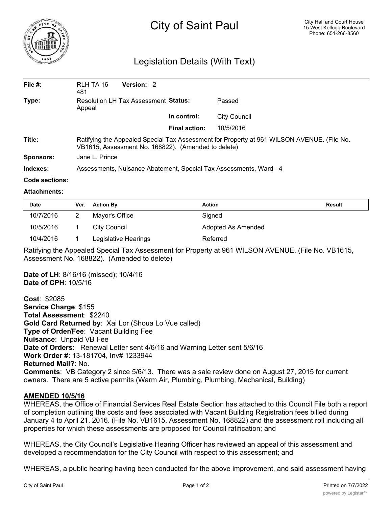

# City of Saint Paul

## Legislation Details (With Text)

| File $#$ : | RLH TA 16-<br>481                                                                                                                                 | Version: 2 |                      |              |  |  |
|------------|---------------------------------------------------------------------------------------------------------------------------------------------------|------------|----------------------|--------------|--|--|
| Type:      | <b>Resolution LH Tax Assessment Status:</b><br>Appeal                                                                                             |            |                      | Passed       |  |  |
|            |                                                                                                                                                   |            | In control:          | City Council |  |  |
|            |                                                                                                                                                   |            | <b>Final action:</b> | 10/5/2016    |  |  |
| Title:     | Ratifying the Appealed Special Tax Assessment for Property at 961 WILSON AVENUE. (File No.<br>VB1615, Assessment No. 168822). (Amended to delete) |            |                      |              |  |  |
| Sponsors:  | Jane L. Prince                                                                                                                                    |            |                      |              |  |  |
| Indexes:   | Assessments, Nuisance Abatement, Special Tax Assessments, Ward - 4                                                                                |            |                      |              |  |  |
|            |                                                                                                                                                   |            |                      |              |  |  |

#### **Code sections:**

#### **Attachments:**

| <b>Date</b> | Ver. | <b>Action By</b>     | Action             | <b>Result</b> |
|-------------|------|----------------------|--------------------|---------------|
| 10/7/2016   |      | Mayor's Office       | Signed             |               |
| 10/5/2016   |      | City Council         | Adopted As Amended |               |
| 10/4/2016   |      | Legislative Hearings | Referred           |               |

Ratifying the Appealed Special Tax Assessment for Property at 961 WILSON AVENUE. (File No. VB1615, Assessment No. 168822). (Amended to delete)

**Date of LH**: 8/16/16 (missed); 10/4/16 **Date of CPH**: 10/5/16

**Cost**: \$2085 **Service Charge**: \$155 **Total Assessment**: \$2240 **Gold Card Returned by**: Xai Lor (Shoua Lo Vue called) **Type of Order/Fee**: Vacant Building Fee **Nuisance**: Unpaid VB Fee **Date of Orders**: Renewal Letter sent 4/6/16 and Warning Letter sent 5/6/16 **Work Order #**: 13-181704, Inv# 1233944 **Returned Mail?**: No. **Comments**: VB Category 2 since 5/6/13. There was a sale review done on August 27, 2015 for current owners. There are 5 active permits (Warm Air, Plumbing, Plumbing, Mechanical, Building)

### **AMENDED 10/5/16**

WHEREAS, the Office of Financial Services Real Estate Section has attached to this Council File both a report of completion outlining the costs and fees associated with Vacant Building Registration fees billed during January 4 to April 21, 2016. (File No. VB1615, Assessment No. 168822) and the assessment roll including all properties for which these assessments are proposed for Council ratification; and

WHEREAS, the City Council's Legislative Hearing Officer has reviewed an appeal of this assessment and developed a recommendation for the City Council with respect to this assessment; and

WHEREAS, a public hearing having been conducted for the above improvement, and said assessment having